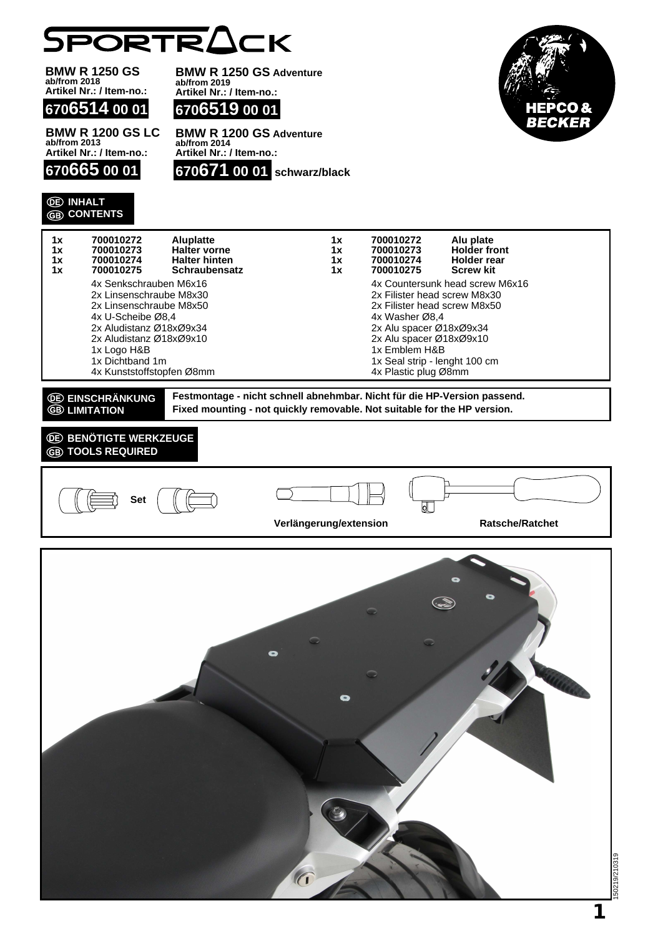

**BMW R 1250 GS BMW R 1250 GS Adventure ab/from 2018 ab/from 2019 Artikel Nr.: / Item-no.: Artikel Nr.: / Item-no.: 6706519 00 01 6706514 00 01** IEPCO & BECKEL **BMW R 1200 GS LC BMW R 1200 GS Adventure ab/from 2014 ab/from 2013 Artikel Nr.: / Item-no.: Artikel Nr.: / Item-no.: 670665 00 01 670671 00 01 schwarz/black INHALT CONTENTS 1x 700010273 Holder front 1x 700010272 Aluplatte** 1x 700010272<br>1x 700010273 **1x 700010273 Halter vorne 1x 700010274 Halter hinten 1x 700010274 Holder rear 1x 700010275 Screw kit 1x 700010275 Schraubensatz** 4x Senkschrauben M6x16 4x Countersunk head screw M6x16 2x Linsenschraube M8x30 2x Filister head screw M8x30 2x Linsenschraube M8x50 2x Filister head screw M8x50 4x U-Scheibe Ø8,4 4x Washer Ø8,4 2x Aludistanz Ø18xØ9x34 2x Alu spacer Ø18xØ9x34 2x Aludistanz Ø18xØ9x10 2x Alu spacer Ø18xØ9x10 1x Logo H&B 1x Emblem H&B 1x Seal strip - lenght 100 cm 1x Dichtband 1m 4x Kunststoffstopfen Ø8mm 4x Plastic plug Ø8mm **Festmontage - nicht schnell abnehmbar. Nicht für die HP-Version passend. EINSCHRÄNKUNG B** LIMITATION **Fixed mounting - not quickly removable. Not suitable for the HP version. <b>BENÖTIGTE WERKZEUGE TOOLS REQUIRED Set**  $\overline{\mathsf{d}}$ **Verlängerung/extension Ratsche/Ratchet**  $\bullet$  $\bullet$ 150219/210319  $\epsilon$ 

**1**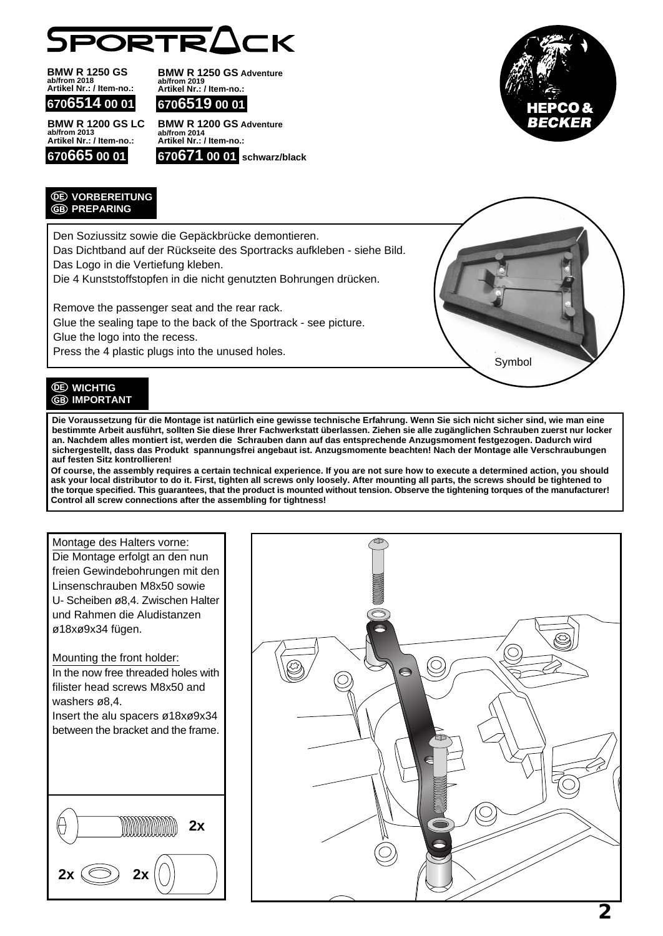

**BMW R 1250 GS ab/from 2018 Artikel Nr.: / Item-no.: 6706514 00 01** **BMW R 1250 GS Adventure ab/from 2019 Artikel Nr.: / Item-no.:**

**6706519 00 01**

**BMW R 1200 GS LC ab/from 2013 Artikel Nr.: / Item-no.: 670665 00 01**





*<u>OE VORBEREITUNG</u>* **GB** PREPARING

Den Soziussitz sowie die Gepäckbrücke demontieren.

Das Dichtband auf der Rückseite des Sportracks aufkleben - siehe Bild. Das Logo in die Vertiefung kleben.

Die 4 Kunststoffstopfen in die nicht genutzten Bohrungen drücken.

Remove the passenger seat and the rear rack.

Glue the sealing tape to the back of the Sportrack - see picture.

Glue the logo into the recess.

Press the 4 plastic plugs into the unused holes.



## *<u>OE* WICHTIG</u> **GB IMPORTANT**

**Die Voraussetzung für die Montage ist natürlich eine gewisse technische Erfahrung. Wenn Sie sich nicht sicher sind, wie man eine bestimmte Arbeit ausführt, sollten Sie diese Ihrer Fachwerkstatt überlassen. Ziehen sie alle zugänglichen Schrauben zuerst nur locker an. Nachdem alles montiert ist, werden die Schrauben dann auf das entsprechende Anzugsmoment festgezogen. Dadurch wird sichergestellt, dass das Produkt spannungsfrei angebaut ist. Anzugsmomente beachten! Nach der Montage alle Verschraubungen auf festen Sitz kontrollieren!**

**Of course, the assembly requires a certain technical experience. If you are not sure how to execute a determined action, you should ask your local distributor to do it. First, tighten all screws only loosely. After mounting all parts, the screws should be tightened to the torque specified. This guarantees, that the product is mounted without tension. Observe the tightening torques of the manufacturer! Control all screw connections after the assembling for tightness!**

## Montage des Halters vorne:

Die Montage erfolgt an den nun freien Gewindebohrungen mit den Linsenschrauben M8x50 sowie U- Scheiben ø8,4. Zwischen Halter und Rahmen die Aludistanzen ø18xø9x34 fügen.

Mounting the front holder: In the now free threaded holes with filister head screws M8x50 and washers ø8,4. Insert the alu spacers ø18xø9x34

between the bracket and the frame.